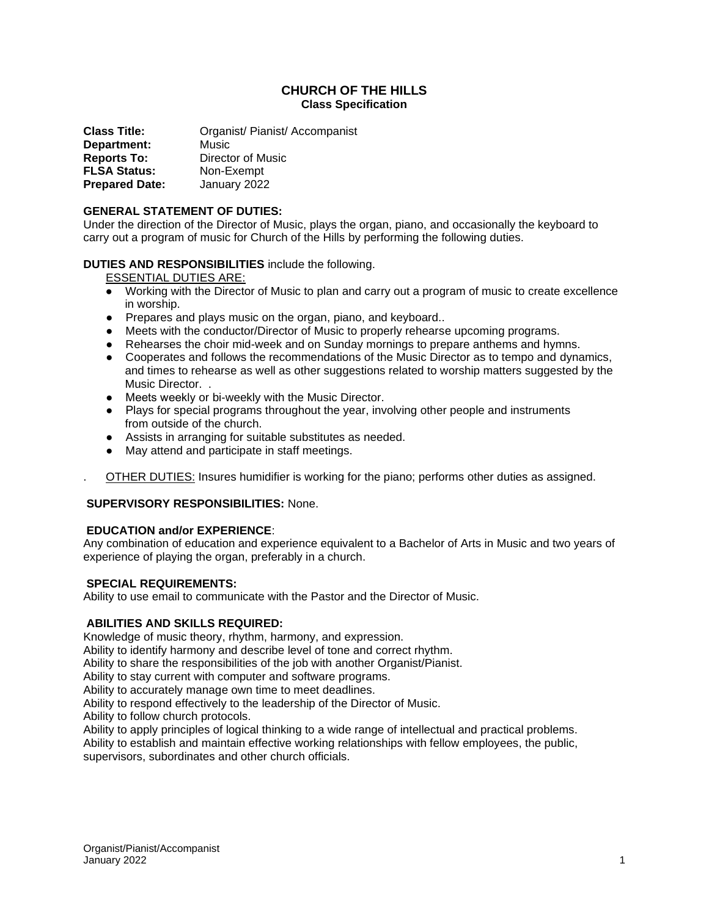# **CHURCH OF THE HILLS Class Specification**

**Class Title:** Organist/ Pianist/ Accompanist **Department:** Music **Reports To:** Director of Music **FLSA Status:** Non-Exempt **Prepared Date:** January 2022

# **GENERAL STATEMENT OF DUTIES:**

Under the direction of the Director of Music, plays the organ, piano, and occasionally the keyboard to carry out a program of music for Church of the Hills by performing the following duties.

## **DUTIES AND RESPONSIBILITIES** include the following.

ESSENTIAL DUTIES ARE:

- Working with the Director of Music to plan and carry out a program of music to create excellence in worship.
- Prepares and plays music on the organ, piano, and keyboard..
- Meets with the conductor/Director of Music to properly rehearse upcoming programs.
- Rehearses the choir mid-week and on Sunday mornings to prepare anthems and hymns.
- Cooperates and follows the recommendations of the Music Director as to tempo and dynamics, and times to rehearse as well as other suggestions related to worship matters suggested by the Music Director. .
- Meets weekly or bi-weekly with the Music Director.
- Plays for special programs throughout the year, involving other people and instruments from outside of the church.
- Assists in arranging for suitable substitutes as needed.
- May attend and participate in staff meetings.
- OTHER DUTIES: Insures humidifier is working for the piano; performs other duties as assigned.

# **SUPERVISORY RESPONSIBILITIES:** None.

### **EDUCATION and/or EXPERIENCE**:

Any combination of education and experience equivalent to a Bachelor of Arts in Music and two years of experience of playing the organ, preferably in a church.

#### **SPECIAL REQUIREMENTS:**

Ability to use email to communicate with the Pastor and the Director of Music.

#### **ABILITIES AND SKILLS REQUIRED:**

Knowledge of music theory, rhythm, harmony, and expression.

Ability to identify harmony and describe level of tone and correct rhythm.

Ability to share the responsibilities of the job with another Organist/Pianist.

Ability to stay current with computer and software programs.

Ability to accurately manage own time to meet deadlines.

Ability to respond effectively to the leadership of the Director of Music.

Ability to follow church protocols.

Ability to apply principles of logical thinking to a wide range of intellectual and practical problems. Ability to establish and maintain effective working relationships with fellow employees, the public, supervisors, subordinates and other church officials.